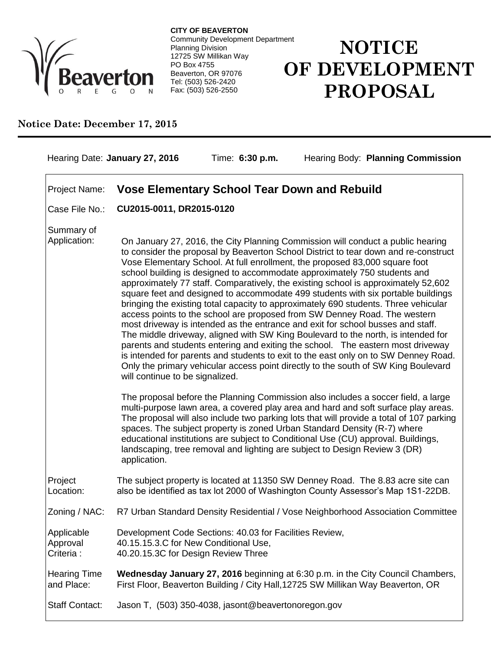

**CITY OF BEAVERTON** Community Development Department Planning Division 12725 SW Millikan Way PO Box 4755 Beaverton, OR 97076 Tel: (503) 526-2420 Fax: (503) 526-2550

## **NOTICE OF DEVELOPMENT PROPOSAL**

## **Notice Date: December 17, 2015**

| Hearing Date: January 27, 2016                                       |                                                                                                                                                                                                                                                                                                                                                                                                                                                                                                                                                                                                                                                                                                                                                                                                                                                                                                                                                                                                                                                                                                                                                             | Time: 6:30 p.m.                                                                                                                                                                                                                                                                                                                                                                                                                                                                                                    |  | Hearing Body: Planning Commission                                               |
|----------------------------------------------------------------------|-------------------------------------------------------------------------------------------------------------------------------------------------------------------------------------------------------------------------------------------------------------------------------------------------------------------------------------------------------------------------------------------------------------------------------------------------------------------------------------------------------------------------------------------------------------------------------------------------------------------------------------------------------------------------------------------------------------------------------------------------------------------------------------------------------------------------------------------------------------------------------------------------------------------------------------------------------------------------------------------------------------------------------------------------------------------------------------------------------------------------------------------------------------|--------------------------------------------------------------------------------------------------------------------------------------------------------------------------------------------------------------------------------------------------------------------------------------------------------------------------------------------------------------------------------------------------------------------------------------------------------------------------------------------------------------------|--|---------------------------------------------------------------------------------|
| <b>Vose Elementary School Tear Down and Rebuild</b><br>Project Name: |                                                                                                                                                                                                                                                                                                                                                                                                                                                                                                                                                                                                                                                                                                                                                                                                                                                                                                                                                                                                                                                                                                                                                             |                                                                                                                                                                                                                                                                                                                                                                                                                                                                                                                    |  |                                                                                 |
| Case File No.:                                                       | CU2015-0011, DR2015-0120                                                                                                                                                                                                                                                                                                                                                                                                                                                                                                                                                                                                                                                                                                                                                                                                                                                                                                                                                                                                                                                                                                                                    |                                                                                                                                                                                                                                                                                                                                                                                                                                                                                                                    |  |                                                                                 |
| Summary of<br>Application:                                           | On January 27, 2016, the City Planning Commission will conduct a public hearing<br>to consider the proposal by Beaverton School District to tear down and re-construct<br>Vose Elementary School. At full enrollment, the proposed 83,000 square foot<br>school building is designed to accommodate approximately 750 students and<br>approximately 77 staff. Comparatively, the existing school is approximately 52,602<br>square feet and designed to accommodate 499 students with six portable buildings<br>bringing the existing total capacity to approximately 690 students. Three vehicular<br>access points to the school are proposed from SW Denney Road. The western<br>most driveway is intended as the entrance and exit for school busses and staff.<br>The middle driveway, aligned with SW King Boulevard to the north, is intended for<br>parents and students entering and exiting the school. The eastern most driveway<br>is intended for parents and students to exit to the east only on to SW Denney Road.<br>Only the primary vehicular access point directly to the south of SW King Boulevard<br>will continue to be signalized. |                                                                                                                                                                                                                                                                                                                                                                                                                                                                                                                    |  |                                                                                 |
|                                                                      | application.                                                                                                                                                                                                                                                                                                                                                                                                                                                                                                                                                                                                                                                                                                                                                                                                                                                                                                                                                                                                                                                                                                                                                | The proposal before the Planning Commission also includes a soccer field, a large<br>multi-purpose lawn area, a covered play area and hard and soft surface play areas.<br>The proposal will also include two parking lots that will provide a total of 107 parking<br>spaces. The subject property is zoned Urban Standard Density (R-7) where<br>educational institutions are subject to Conditional Use (CU) approval. Buildings,<br>landscaping, tree removal and lighting are subject to Design Review 3 (DR) |  |                                                                                 |
| Project<br>Location:                                                 |                                                                                                                                                                                                                                                                                                                                                                                                                                                                                                                                                                                                                                                                                                                                                                                                                                                                                                                                                                                                                                                                                                                                                             | The subject property is located at 11350 SW Denney Road. The 8.83 acre site can<br>also be identified as tax lot 2000 of Washington County Assessor's Map 1S1-22DB.                                                                                                                                                                                                                                                                                                                                                |  |                                                                                 |
| Zoning / NAC:                                                        |                                                                                                                                                                                                                                                                                                                                                                                                                                                                                                                                                                                                                                                                                                                                                                                                                                                                                                                                                                                                                                                                                                                                                             |                                                                                                                                                                                                                                                                                                                                                                                                                                                                                                                    |  | R7 Urban Standard Density Residential / Vose Neighborhood Association Committee |
| Applicable<br>Approval<br>Criteria:                                  | Development Code Sections: 40.03 for Facilities Review,<br>40.15.15.3.C for New Conditional Use,<br>40.20.15.3C for Design Review Three                                                                                                                                                                                                                                                                                                                                                                                                                                                                                                                                                                                                                                                                                                                                                                                                                                                                                                                                                                                                                     |                                                                                                                                                                                                                                                                                                                                                                                                                                                                                                                    |  |                                                                                 |
| <b>Hearing Time</b><br>and Place:                                    | Wednesday January 27, 2016 beginning at 6:30 p.m. in the City Council Chambers,<br>First Floor, Beaverton Building / City Hall, 12725 SW Millikan Way Beaverton, OR                                                                                                                                                                                                                                                                                                                                                                                                                                                                                                                                                                                                                                                                                                                                                                                                                                                                                                                                                                                         |                                                                                                                                                                                                                                                                                                                                                                                                                                                                                                                    |  |                                                                                 |
| <b>Staff Contact:</b>                                                |                                                                                                                                                                                                                                                                                                                                                                                                                                                                                                                                                                                                                                                                                                                                                                                                                                                                                                                                                                                                                                                                                                                                                             | Jason T, (503) 350-4038, jasont@beavertonoregon.gov                                                                                                                                                                                                                                                                                                                                                                                                                                                                |  |                                                                                 |